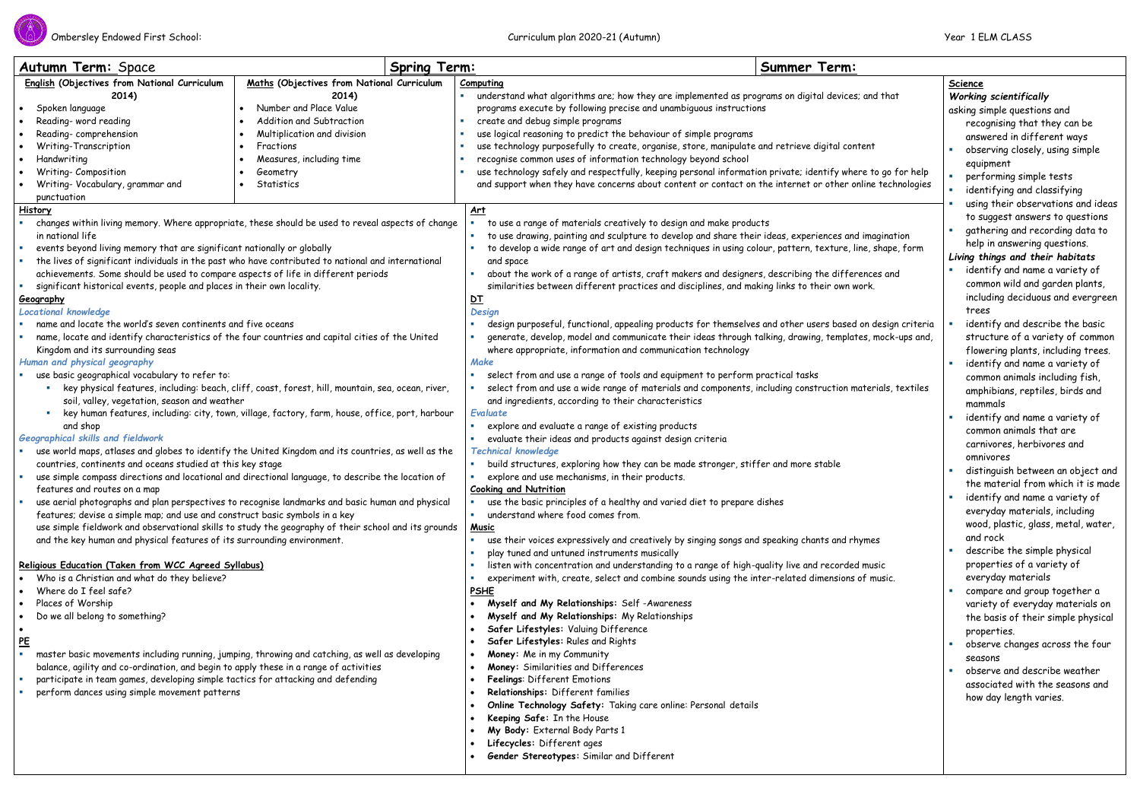

| <b>Autumn Term: Space</b>                                                                                                         | <b>Spring Term:</b>                                                                                  | <b>Summer Term:</b>                                                                                         |                                     |
|-----------------------------------------------------------------------------------------------------------------------------------|------------------------------------------------------------------------------------------------------|-------------------------------------------------------------------------------------------------------------|-------------------------------------|
| <b>English (Objectives from National Curriculum</b>                                                                               | Maths (Objectives from National Curriculum                                                           | Computing                                                                                                   | <b>Science</b>                      |
| 2014)                                                                                                                             | 2014)                                                                                                | understand what algorithms are; how they are implemented as programs on digital devices; and that           | <b>Working scientifically</b>       |
| Spoken language                                                                                                                   | Number and Place Value                                                                               | programs execute by following precise and unambiguous instructions                                          | asking simple questions and         |
| Reading-word reading                                                                                                              | Addition and Subtraction                                                                             | create and debug simple programs                                                                            | recognising that they can be        |
| Reading-comprehension                                                                                                             | Multiplication and division                                                                          | use logical reasoning to predict the behaviour of simple programs                                           | answered in different ways          |
| Writing-Transcription                                                                                                             | Fractions                                                                                            | use technology purposefully to create, organise, store, manipulate and retrieve digital content             | observing closely, using simple     |
| Handwriting                                                                                                                       | Measures, including time                                                                             | recognise common uses of information technology beyond school                                               | equipment                           |
| Writing- Composition                                                                                                              | Geometry                                                                                             | use technology safely and respectfully, keeping personal information private; identify where to go for help | performing simple tests             |
| Writing- Vocabulary, grammar and                                                                                                  | Statistics                                                                                           | and support when they have concerns about content or contact on the internet or other online technologies   | identifying and classifying         |
| punctuation                                                                                                                       |                                                                                                      |                                                                                                             | using their observations and ideas  |
| <b>History</b>                                                                                                                    |                                                                                                      | <u>Art</u>                                                                                                  | to suggest answers to questions     |
|                                                                                                                                   | changes within living memory. Where appropriate, these should be used to reveal aspects of change    | to use a range of materials creatively to design and make products                                          |                                     |
| in national life                                                                                                                  |                                                                                                      | to use drawing, painting and sculpture to develop and share their ideas, experiences and imagination        | gathering and recording data to     |
| events beyond living memory that are significant nationally or globally                                                           |                                                                                                      | to develop a wide range of art and design techniques in using colour, pattern, texture, line, shape, form   | help in answering questions.        |
|                                                                                                                                   | the lives of significant individuals in the past who have contributed to national and international  | and space                                                                                                   | Living things and their habitats    |
| achievements. Some should be used to compare aspects of life in different periods                                                 |                                                                                                      | about the work of a range of artists, craft makers and designers, describing the differences and            | identify and name a variety of      |
| significant historical events, people and places in their own locality.                                                           |                                                                                                      | similarities between different practices and disciplines, and making links to their own work.               | common wild and garden plants,      |
| <b>Geography</b>                                                                                                                  |                                                                                                      | <u>DT</u>                                                                                                   | including deciduous and evergreen   |
| <b>Locational knowledge</b>                                                                                                       |                                                                                                      | <b>Design</b>                                                                                               | trees                               |
| name and locate the world's seven continents and five oceans                                                                      |                                                                                                      | design purposeful, functional, appealing products for themselves and other users based on design criteria   | identify and describe the basic     |
|                                                                                                                                   | name, locate and identify characteristics of the four countries and capital cities of the United     | generate, develop, model and communicate their ideas through talking, drawing, templates, mock-ups and,     | structure of a variety of common    |
| Kingdom and its surrounding seas                                                                                                  |                                                                                                      | where appropriate, information and communication technology                                                 | flowering plants, including trees.  |
| Human and physical geography                                                                                                      |                                                                                                      | Make                                                                                                        | identify and name a variety of      |
| use basic geographical vocabulary to refer to:                                                                                    |                                                                                                      | select from and use a range of tools and equipment to perform practical tasks                               | common animals including fish,      |
|                                                                                                                                   | key physical features, including: beach, cliff, coast, forest, hill, mountain, sea, ocean, river,    | select from and use a wide range of materials and components, including construction materials, textiles    | amphibians, reptiles, birds and     |
| soil, valley, vegetation, season and weather                                                                                      |                                                                                                      | and ingredients, according to their characteristics                                                         | mammals                             |
|                                                                                                                                   | key human features, including: city, town, village, factory, farm, house, office, port, harbour      | Evaluate                                                                                                    | identify and name a variety of      |
| and shop                                                                                                                          |                                                                                                      | explore and evaluate a range of existing products                                                           | common animals that are             |
| <b>Geographical skills and fieldwork</b>                                                                                          |                                                                                                      | evaluate their ideas and products against design criteria                                                   | carnivores, herbivores and          |
|                                                                                                                                   | use world maps, atlases and globes to identify the United Kingdom and its countries, as well as the  | <b>Technical knowledge</b>                                                                                  | omnivores                           |
| countries, continents and oceans studied at this key stage                                                                        |                                                                                                      | build structures, exploring how they can be made stronger, stiffer and more stable                          | distinguish between an object and   |
|                                                                                                                                   | use simple compass directions and locational and directional language, to describe the location of   | explore and use mechanisms, in their products.                                                              | the material from which it is made  |
| features and routes on a map                                                                                                      |                                                                                                      | <b>Cooking and Nutrition</b>                                                                                | identify and name a variety of      |
|                                                                                                                                   | use aerial photographs and plan perspectives to recognise landmarks and basic human and physical     | use the basic principles of a healthy and varied diet to prepare dishes                                     | everyday materials, including       |
| features; devise a simple map; and use and construct basic symbols in a key                                                       |                                                                                                      | " understand where food comes from.                                                                         | wood, plastic, glass, metal, water, |
|                                                                                                                                   | use simple fieldwork and observational skills to study the geography of their school and its grounds | <u>Music</u>                                                                                                | and rock                            |
| and the key human and physical features of its surrounding environment.                                                           |                                                                                                      | use their voices expressively and creatively by singing songs and speaking chants and rhymes                |                                     |
|                                                                                                                                   |                                                                                                      | play tuned and untuned instruments musically                                                                | describe the simple physical        |
| Religious Education (Taken from WCC Agreed Syllabus)                                                                              |                                                                                                      | listen with concentration and understanding to a range of high-quality live and recorded music              | properties of a variety of          |
| Who is a Christian and what do they believe?                                                                                      |                                                                                                      | experiment with, create, select and combine sounds using the inter-related dimensions of music.             | everyday materials                  |
| Where do I feel safe?                                                                                                             |                                                                                                      | <b>PSHE</b>                                                                                                 | compare and group together a        |
| Places of Worship                                                                                                                 |                                                                                                      | Myself and My Relationships: Self-Awareness                                                                 | variety of everyday materials on    |
| Do we all belong to something?                                                                                                    |                                                                                                      | Myself and My Relationships: My Relationships                                                               | the basis of their simple physical  |
|                                                                                                                                   |                                                                                                      | Safer Lifestyles: Valuing Difference                                                                        | properties.                         |
| <u>PE</u>                                                                                                                         |                                                                                                      | Safer Lifestyles: Rules and Rights                                                                          | observe changes across the four     |
|                                                                                                                                   | master basic movements including running, jumping, throwing and catching, as well as developing      | Money: Me in my Community                                                                                   | seasons                             |
| balance, agility and co-ordination, and begin to apply these in a range of activities                                             |                                                                                                      | Money: Similarities and Differences                                                                         | observe and describe weather        |
| participate in team games, developing simple tactics for attacking and defending<br>perform dances using simple movement patterns |                                                                                                      | Feelings: Different Emotions<br>Relationships: Different families                                           | associated with the seasons and     |
|                                                                                                                                   |                                                                                                      | Online Technology Safety: Taking care online: Personal details                                              | how day length varies.              |
|                                                                                                                                   |                                                                                                      | Keeping Safe: In the House                                                                                  |                                     |
|                                                                                                                                   |                                                                                                      | My Body: External Body Parts 1                                                                              |                                     |
|                                                                                                                                   |                                                                                                      | Lifecycles: Different ages                                                                                  |                                     |
|                                                                                                                                   |                                                                                                      | Gender Stereotypes: Similar and Different                                                                   |                                     |
|                                                                                                                                   |                                                                                                      |                                                                                                             |                                     |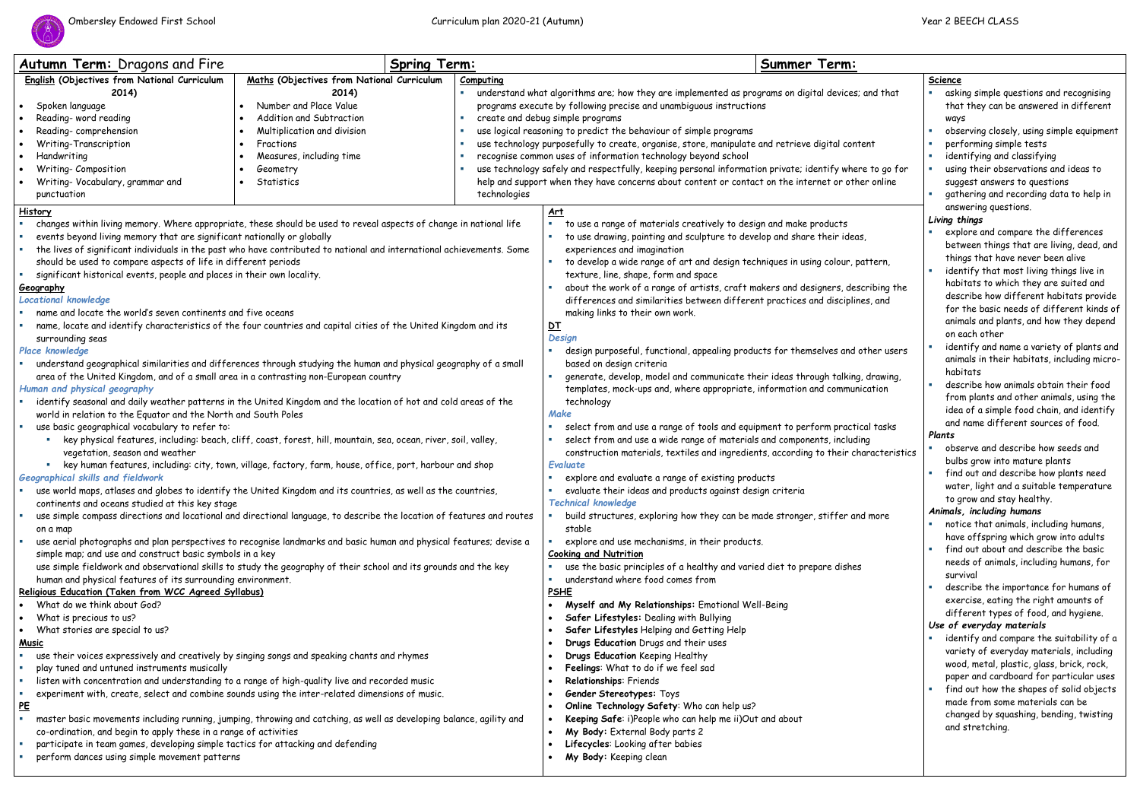

| <b>Autumn Term:</b> Dragons and Fire                                                                                   | <b>Spring Term:</b>                                                                                               |              | <b>Summer Term:</b>                                                                                    |                                                                                      |
|------------------------------------------------------------------------------------------------------------------------|-------------------------------------------------------------------------------------------------------------------|--------------|--------------------------------------------------------------------------------------------------------|--------------------------------------------------------------------------------------|
| <b>English (Objectives from National Curriculum</b>                                                                    | Maths (Objectives from National Curriculum                                                                        | Computing    |                                                                                                        | Science                                                                              |
| 2014)                                                                                                                  | 2014)                                                                                                             |              | understand what algorithms are; how they are implemented as programs on digital devices; and that      | asking simple questions and recognising                                              |
| Spoken language                                                                                                        | Number and Place Value                                                                                            |              | programs execute by following precise and unambiguous instructions                                     | that they can be answered in different                                               |
| Reading-word reading                                                                                                   | Addition and Subtraction                                                                                          |              | create and debug simple programs                                                                       | ways                                                                                 |
| Reading-comprehension                                                                                                  | Multiplication and division<br>$\bullet$                                                                          |              | use logical reasoning to predict the behaviour of simple programs                                      | observing closely, using simple equipment                                            |
| Writing-Transcription                                                                                                  | Fractions                                                                                                         |              | use technology purposefully to create, organise, store, manipulate and retrieve digital content        | performing simple tests                                                              |
| Handwriting                                                                                                            | Measures, including time                                                                                          |              | recognise common uses of information technology beyond school                                          | identifying and classifying                                                          |
| Writing- Composition                                                                                                   | Geometry                                                                                                          |              | use technology safely and respectfully, keeping personal information private; identify where to go for | using their observations and ideas to                                                |
| Writing- Vocabulary, grammar and                                                                                       | Statistics<br>$\bullet$                                                                                           |              | help and support when they have concerns about content or contact on the internet or other online      | suggest answers to questions                                                         |
| punctuation                                                                                                            |                                                                                                                   | technologies |                                                                                                        | gathering and recording data to help in                                              |
| History                                                                                                                |                                                                                                                   |              | Art                                                                                                    | answering questions.                                                                 |
| . changes within living memory. Where appropriate, these should be used to reveal aspects of change in national life   |                                                                                                                   |              | to use a range of materials creatively to design and make products                                     | Living things                                                                        |
| events beyond living memory that are significant nationally or globally                                                |                                                                                                                   |              | to use drawing, painting and sculpture to develop and share their ideas,                               | explore and compare the differences                                                  |
| the lives of significant individuals in the past who have contributed to national and international achievements. Some |                                                                                                                   |              | experiences and imagination                                                                            | between things that are living, dead, and                                            |
| should be used to compare aspects of life in different periods                                                         |                                                                                                                   |              | to develop a wide range of art and design techniques in using colour, pattern,                         | things that have never been alive                                                    |
| " significant historical events, people and places in their own locality.                                              |                                                                                                                   |              | texture, line, shape, form and space                                                                   | identify that most living things live in                                             |
| Geography                                                                                                              |                                                                                                                   |              | about the work of a range of artists, craft makers and designers, describing the                       | habitats to which they are suited and                                                |
| <b>Locational knowledge</b>                                                                                            |                                                                                                                   |              | differences and similarities between different practices and disciplines, and                          | describe how different habitats provide                                              |
| name and locate the world's seven continents and five oceans                                                           |                                                                                                                   |              | making links to their own work.                                                                        | for the basic needs of different kinds of                                            |
| name, locate and identify characteristics of the four countries and capital cities of the United Kingdom and its       |                                                                                                                   |              | $D_{\perp}$                                                                                            | animals and plants, and how they depend                                              |
| surrounding seas                                                                                                       |                                                                                                                   |              | <b>Design</b>                                                                                          | on each other                                                                        |
| <b>Place knowledge</b>                                                                                                 |                                                                                                                   |              | design purposeful, functional, appealing products for themselves and other users                       | identify and name a variety of plants and                                            |
| understand geographical similarities and differences through studying the human and physical geography of a small      |                                                                                                                   |              | based on design criteria                                                                               | animals in their habitats, including micro-                                          |
| area of the United Kingdom, and of a small area in a contrasting non-European country                                  |                                                                                                                   |              | generate, develop, model and communicate their ideas through talking, drawing,                         | habitats                                                                             |
| Human and physical geography                                                                                           |                                                                                                                   |              | templates, mock-ups and, where appropriate, information and communication                              | describe how animals obtain their food                                               |
| " identify seasonal and daily weather patterns in the United Kingdom and the location of hot and cold areas of the     |                                                                                                                   |              | technology                                                                                             | from plants and other animals, using the                                             |
| world in relation to the Equator and the North and South Poles                                                         |                                                                                                                   |              | Make                                                                                                   | idea of a simple food chain, and identify                                            |
| " use basic geographical vocabulary to refer to:                                                                       |                                                                                                                   |              | select from and use a range of tools and equipment to perform practical tasks                          | and name different sources of food.                                                  |
|                                                                                                                        | " key physical features, including: beach, cliff, coast, forest, hill, mountain, sea, ocean, river, soil, valley, |              | select from and use a wide range of materials and components, including                                | Plants                                                                               |
| vegetation, season and weather                                                                                         |                                                                                                                   |              | construction materials, textiles and ingredients, according to their characteristics                   | observe and describe how seeds and                                                   |
|                                                                                                                        | key human features, including: city, town, village, factory, farm, house, office, port, harbour and shop          |              | Evaluate                                                                                               | bulbs grow into mature plants                                                        |
| <b>Geographical skills and fieldwork</b>                                                                               |                                                                                                                   |              | explore and evaluate a range of existing products                                                      | find out and describe how plants need                                                |
| use world maps, atlases and globes to identify the United Kingdom and its countries, as well as the countries,         |                                                                                                                   |              | evaluate their ideas and products against design criteria                                              | water, light and a suitable temperature                                              |
| continents and oceans studied at this key stage                                                                        |                                                                                                                   |              | <b>Technical knowledge</b>                                                                             | to grow and stay healthy.                                                            |
| use simple compass directions and locational and directional language, to describe the location of features and routes |                                                                                                                   |              | build structures, exploring how they can be made stronger, stiffer and more                            | Animals, including humans                                                            |
| on a map                                                                                                               |                                                                                                                   |              | stable                                                                                                 | notice that animals, including humans,                                               |
| use aerial photographs and plan perspectives to recognise landmarks and basic human and physical features; devise a    |                                                                                                                   |              | explore and use mechanisms, in their products.                                                         | have offspring which grow into adults                                                |
| simple map; and use and construct basic symbols in a key                                                               |                                                                                                                   |              | <b>Cooking and Nutrition</b>                                                                           | find out about and describe the basic                                                |
|                                                                                                                        | use simple fieldwork and observational skills to study the geography of their school and its grounds and the key  |              | use the basic principles of a healthy and varied diet to prepare dishes                                | needs of animals, including humans, for                                              |
| human and physical features of its surrounding environment.                                                            |                                                                                                                   |              | understand where food comes from                                                                       | survival                                                                             |
| Religious Education (Taken from WCC Agreed Syllabus)                                                                   |                                                                                                                   |              | <b>PSHE</b>                                                                                            | describe the importance for humans of                                                |
| What do we think about God?                                                                                            |                                                                                                                   |              | Myself and My Relationships: Emotional Well-Being                                                      | exercise, eating the right amounts of                                                |
| What is precious to us?                                                                                                |                                                                                                                   |              | Safer Lifestyles: Dealing with Bullying                                                                | different types of food, and hygiene.                                                |
| What stories are special to us?<br>$\bullet$                                                                           |                                                                                                                   |              | Safer Lifestyles Helping and Getting Help                                                              | Use of everyday materials                                                            |
| <u>Music</u>                                                                                                           |                                                                                                                   |              | Drugs Education Drugs and their uses                                                                   | identify and compare the suitability of a                                            |
| use their voices expressively and creatively by singing songs and speaking chants and rhymes                           |                                                                                                                   |              | Drugs Education Keeping Healthy                                                                        | variety of everyday materials, including                                             |
| play tuned and untuned instruments musically                                                                           |                                                                                                                   |              | Feelings: What to do if we feel sad                                                                    | wood, metal, plastic, glass, brick, rock,<br>paper and cardboard for particular uses |
| listen with concentration and understanding to a range of high-quality live and recorded music                         |                                                                                                                   |              | Relationships: Friends                                                                                 | find out how the shapes of solid objects                                             |
|                                                                                                                        | experiment with, create, select and combine sounds using the inter-related dimensions of music.                   |              | Gender Stereotypes: Toys                                                                               | made from some materials can be                                                      |
| PE                                                                                                                     |                                                                                                                   |              | Online Technology Safety: Who can help us?                                                             | changed by squashing, bending, twisting                                              |
| master basic movements including running, jumping, throwing and catching, as well as developing balance, agility and   |                                                                                                                   |              | Keeping Safe: i)People who can help me ii)Out and about                                                | and stretching.                                                                      |
| co-ordination, and begin to apply these in a range of activities                                                       |                                                                                                                   |              | My Body: External Body parts 2                                                                         |                                                                                      |
| participate in team games, developing simple tactics for attacking and defending                                       |                                                                                                                   |              | Lifecycles: Looking after babies                                                                       |                                                                                      |
| perform dances using simple movement patterns                                                                          |                                                                                                                   |              | My Body: Keeping clean                                                                                 |                                                                                      |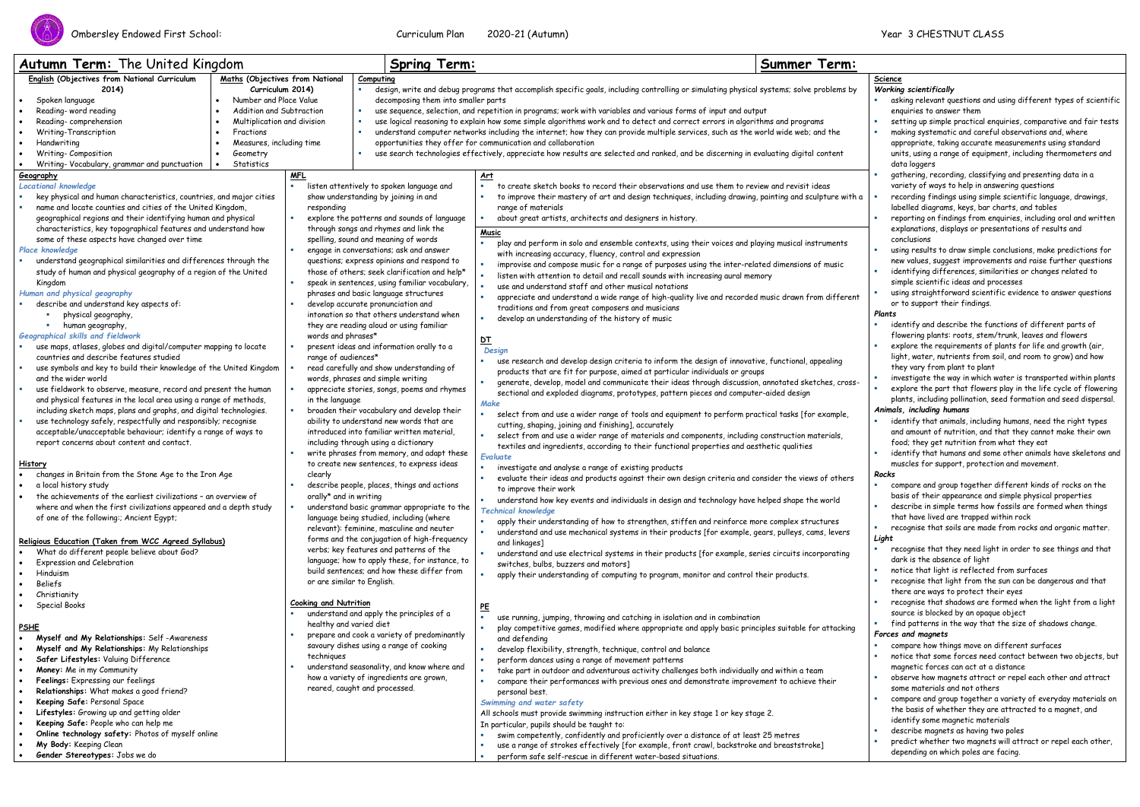

| <b>Autumn Term:</b> The United Kingdom                                                                                               |                                          | <b>Spring Term:</b>                                                                    | <b>Summer Term:</b>                                                                                                                                                                                                                                              |                                                                                                                            |
|--------------------------------------------------------------------------------------------------------------------------------------|------------------------------------------|----------------------------------------------------------------------------------------|------------------------------------------------------------------------------------------------------------------------------------------------------------------------------------------------------------------------------------------------------------------|----------------------------------------------------------------------------------------------------------------------------|
| <b>English (Objectives from National Curriculum</b>                                                                                  | Maths (Objectives from National          | <b>Computing</b>                                                                       |                                                                                                                                                                                                                                                                  | <b>Science</b>                                                                                                             |
| 2014)                                                                                                                                | Curriculum 2014)                         |                                                                                        | design, write and debug programs that accomplish specific goals, including controlling or simulating physical systems; solve problems by                                                                                                                         | <b>Working scientifically</b>                                                                                              |
| Spoken language                                                                                                                      | Number and Place Value                   | decomposing them into smaller parts                                                    |                                                                                                                                                                                                                                                                  | asking relevant questions and using different types of scientific                                                          |
| Reading-word reading                                                                                                                 | Addition and Subtraction                 |                                                                                        | use sequence, selection, and repetition in programs; work with variables and various forms of input and output                                                                                                                                                   | enguiries to answer them                                                                                                   |
| Reading-comprehension<br>Writing-Transcription                                                                                       | Multiplication and division<br>Fractions |                                                                                        | use logical reasoning to explain how some simple algorithms work and to detect and correct errors in algorithms and programs<br>understand computer networks including the internet; how they can provide multiple services, such as the world wide web; and the | setting up simple practical enquiries, comparative and fair tests<br>making systematic and careful observations and, where |
| Handwriting                                                                                                                          | Measures, including time                 |                                                                                        | opportunities they offer for communication and collaboration                                                                                                                                                                                                     | appropriate, taking accurate measurements using standard                                                                   |
| Writing- Composition                                                                                                                 | Geometry                                 |                                                                                        | use search technologies effectively, appreciate how results are selected and ranked, and be discerning in evaluating digital content                                                                                                                             | units, using a range of equipment, including thermometers and                                                              |
| Writing- Vocabulary, grammar and punctuation                                                                                         | Statistics                               |                                                                                        |                                                                                                                                                                                                                                                                  | data loggers                                                                                                               |
| <u>Geography</u>                                                                                                                     |                                          | <b>MFL</b>                                                                             | <u>Art</u>                                                                                                                                                                                                                                                       | gathering, recording, classifying and presenting data in a                                                                 |
| <b>Locational knowledge</b>                                                                                                          |                                          | m.<br>listen attentively to spoken language and                                        | to create sketch books to record their observations and use them to review and revisit ideas<br>$\mathbf{R}^{\mathrm{max}}$                                                                                                                                      | variety of ways to help in answering questions                                                                             |
| key physical and human characteristics, countries, and major cities                                                                  |                                          | show understanding by joining in and                                                   | to improve their mastery of art and design techniques, including drawing, painting and sculpture with a                                                                                                                                                          | recording findings using simple scientific language, drawings,                                                             |
| name and locate counties and cities of the United Kingdom,                                                                           |                                          | responding                                                                             | range of materials                                                                                                                                                                                                                                               | labelled diagrams, keys, bar charts, and tables                                                                            |
| geographical regions and their identifying human and physical                                                                        |                                          | explore the patterns and sounds of language                                            | about great artists, architects and designers in history.                                                                                                                                                                                                        | reporting on findings from enquiries, including oral and written                                                           |
| characteristics, key topographical features and understand how                                                                       |                                          | through songs and rhymes and link the                                                  | Music                                                                                                                                                                                                                                                            | explanations, displays or presentations of results and                                                                     |
| some of these aspects have changed over time                                                                                         |                                          | spelling, sound and meaning of words                                                   | play and perform in solo and ensemble contexts, using their voices and playing musical instruments                                                                                                                                                               | conclusions<br>using results to draw simple conclusions, make predictions for                                              |
| Place knowledge<br>understand geographical similarities and differences through the                                                  |                                          | engage in conversations; ask and answer<br>questions; express opinions and respond to  | with increasing accuracy, fluency, control and expression                                                                                                                                                                                                        | new values, suggest improvements and raise further questions                                                               |
| study of human and physical geography of a region of the United                                                                      |                                          | those of others; seek clarification and help*                                          | improvise and compose music for a range of purposes using the inter-related dimensions of music                                                                                                                                                                  | identifying differences, similarities or changes related to                                                                |
| Kingdom                                                                                                                              |                                          | speak in sentences, using familiar vocabulary,                                         | listen with attention to detail and recall sounds with increasing aural memory                                                                                                                                                                                   | simple scientific ideas and processes                                                                                      |
| Human and physical geography                                                                                                         |                                          | phrases and basic language structures                                                  | use and understand staff and other musical notations                                                                                                                                                                                                             | using straightforward scientific evidence to answer questions                                                              |
| describe and understand key aspects of:                                                                                              |                                          | develop accurate pronunciation and                                                     | appreciate and understand a wide range of high-quality live and recorded music drawn from different                                                                                                                                                              | or to support their findings.                                                                                              |
| physical geography,                                                                                                                  |                                          | intonation so that others understand when                                              | traditions and from great composers and musicians<br>develop an understanding of the history of music                                                                                                                                                            | Plants                                                                                                                     |
| human geography,                                                                                                                     |                                          | they are reading aloud or using familiar                                               |                                                                                                                                                                                                                                                                  | identify and describe the functions of different parts of                                                                  |
| <b>Geographical skills and fieldwork</b>                                                                                             |                                          | words and phrases*                                                                     | $\overline{p}$                                                                                                                                                                                                                                                   | flowering plants: roots, stem/trunk, leaves and flowers                                                                    |
| use maps, atlases, globes and digital/computer mapping to locate                                                                     |                                          | present ideas and information orally to a                                              | Design                                                                                                                                                                                                                                                           | explore the requirements of plants for life and growth (air,                                                               |
| countries and describe features studied                                                                                              |                                          | range of audiences*                                                                    | use research and develop design criteria to inform the design of innovative, functional, appealing                                                                                                                                                               | light, water, nutrients from soil, and room to grow) and how                                                               |
| use symbols and key to build their knowledge of the United Kingdom                                                                   |                                          | read carefully and show understanding of                                               | products that are fit for purpose, aimed at particular individuals or groups                                                                                                                                                                                     | they vary from plant to plant                                                                                              |
| and the wider world                                                                                                                  |                                          | words, phrases and simple writing                                                      | generate, develop, model and communicate their ideas through discussion, annotated sketches, cross-                                                                                                                                                              | investigate the way in which water is transported within plants                                                            |
| use fieldwork to observe, measure, record and present the human                                                                      |                                          | appreciate stories, songs, poems and rhymes                                            | sectional and exploded diagrams, prototypes, pattern pieces and computer-aided design                                                                                                                                                                            | explore the part that flowers play in the life cycle of flowering                                                          |
| and physical features in the local area using a range of methods,                                                                    |                                          | in the language                                                                        | Make                                                                                                                                                                                                                                                             | plants, including pollination, seed formation and seed dispersal.                                                          |
| including sketch maps, plans and graphs, and digital technologies.<br>use technology safely, respectfully and responsibly; recognise |                                          | broaden their vocabulary and develop their<br>ability to understand new words that are | select from and use a wider range of tools and equipment to perform practical tasks [for example,                                                                                                                                                                | Animals, including humans<br>identify that animals, including humans, need the right types                                 |
| acceptable/unacceptable behaviour; identify a range of ways to                                                                       |                                          | introduced into familiar written material,                                             | cutting, shaping, joining and finishing], accurately                                                                                                                                                                                                             | and amount of nutrition, and that they cannot make their own                                                               |
| report concerns about content and contact.                                                                                           |                                          | including through using a dictionary                                                   | select from and use a wider range of materials and components, including construction materials,                                                                                                                                                                 | food; they get nutrition from what they eat                                                                                |
|                                                                                                                                      |                                          | write phrases from memory, and adapt these                                             | textiles and ingredients, according to their functional properties and aesthetic qualities                                                                                                                                                                       | identify that humans and some other animals have skeletons and                                                             |
| History                                                                                                                              |                                          | to create new sentences, to express ideas                                              | Evaluate                                                                                                                                                                                                                                                         | muscles for support, protection and movement.                                                                              |
| changes in Britain from the Stone Age to the Iron Age                                                                                |                                          | clearly                                                                                | investigate and analyse a range of existing products<br>evaluate their ideas and products against their own design criteria and consider the views of others                                                                                                     | Rocks                                                                                                                      |
| a local history study                                                                                                                |                                          | describe people, places, things and actions                                            | to improve their work                                                                                                                                                                                                                                            | compare and group together different kinds of rocks on the                                                                 |
| the achievements of the earliest civilizations - an overview of                                                                      |                                          | orally* and in writing                                                                 | understand how key events and individuals in design and technology have helped shape the world                                                                                                                                                                   | basis of their appearance and simple physical properties                                                                   |
| where and when the first civilizations appeared and a depth study                                                                    |                                          | understand basic grammar appropriate to the                                            | <b>Technical knowledge</b>                                                                                                                                                                                                                                       | describe in simple terms how fossils are formed when things                                                                |
| of one of the following:; Ancient Egypt;                                                                                             |                                          | language being studied, including (where                                               | apply their understanding of how to strengthen, stiffen and reinforce more complex structures<br>a.                                                                                                                                                              | that have lived are trapped within rock                                                                                    |
|                                                                                                                                      |                                          | relevant): feminine, masculine and neuter                                              | understand and use mechanical systems in their products [for example, gears, pulleys, cams, levers                                                                                                                                                               | recognise that soils are made from rocks and organic matter.                                                               |
| Religious Education (Taken from WCC Agreed Syllabus)                                                                                 |                                          | forms and the conjugation of high-frequency<br>verbs; key features and patterns of the | and linkages]                                                                                                                                                                                                                                                    | Light<br>recognise that they need light in order to see things and that<br><b>B</b> Co                                     |
| What do different people believe about God?                                                                                          |                                          | language; how to apply these, for instance, to                                         | understand and use electrical systems in their products [for example, series circuits incorporating                                                                                                                                                              | dark is the absence of light                                                                                               |
| <b>Expression and Celebration</b>                                                                                                    |                                          | build sentences; and how these differ from                                             | switches, bulbs, buzzers and motors]                                                                                                                                                                                                                             | notice that light is reflected from surfaces                                                                               |
| Hinduism<br>Beliefs                                                                                                                  |                                          | or are similar to English.                                                             | apply their understanding of computing to program, monitor and control their products.                                                                                                                                                                           | recognise that light from the sun can be dangerous and that                                                                |
| Christianity                                                                                                                         |                                          |                                                                                        |                                                                                                                                                                                                                                                                  | there are ways to protect their eyes                                                                                       |
| Special Books                                                                                                                        |                                          | <b>Cooking and Nutrition</b>                                                           |                                                                                                                                                                                                                                                                  | recognise that shadows are formed when the light from a light                                                              |
|                                                                                                                                      |                                          | understand and apply the principles of a                                               | PE<br>use running, jumping, throwing and catching in isolation and in combination                                                                                                                                                                                | source is blocked by an opaque object                                                                                      |
| <b>PSHE</b>                                                                                                                          |                                          | healthy and varied diet                                                                | play competitive games, modified where appropriate and apply basic principles suitable for attacking                                                                                                                                                             | " find patterns in the way that the size of shadows change.                                                                |
| Myself and My Relationships: Self -Awareness                                                                                         |                                          | prepare and cook a variety of predominantly                                            | and defending                                                                                                                                                                                                                                                    | Forces and magnets                                                                                                         |
| Myself and My Relationships: My Relationships                                                                                        |                                          | savoury dishes using a range of cooking                                                | develop flexibility, strength, technique, control and balance                                                                                                                                                                                                    | compare how things move on different surfaces                                                                              |
| Safer Lifestyles: Valuing Difference                                                                                                 |                                          | techniques                                                                             | perform dances using a range of movement patterns                                                                                                                                                                                                                | notice that some forces need contact between two objects, but                                                              |
| Money: Me in my Community                                                                                                            |                                          | understand seasonality, and know where and                                             | take part in outdoor and adventurous activity challenges both individually and within a team                                                                                                                                                                     | magnetic forces can act at a distance                                                                                      |
| Feelings: Expressing our feelings                                                                                                    |                                          | how a variety of ingredients are grown,                                                | compare their performances with previous ones and demonstrate improvement to achieve their                                                                                                                                                                       | observe how magnets attract or repel each other and attract<br>some materials and not others                               |
| Relationships: What makes a good friend?                                                                                             |                                          | reared, caught and processed.                                                          | personal best.                                                                                                                                                                                                                                                   | compare and group together a variety of everyday materials on                                                              |
| Keeping Safe: Personal Space                                                                                                         |                                          |                                                                                        | Swimming and water safety                                                                                                                                                                                                                                        | the basis of whether they are attracted to a magnet, and                                                                   |
| Lifestyles: Growing up and getting older                                                                                             |                                          |                                                                                        | All schools must provide swimming instruction either in key stage 1 or key stage 2.                                                                                                                                                                              | identify some magnetic materials                                                                                           |
| Keeping Safe: People who can help me                                                                                                 |                                          |                                                                                        | In particular, pupils should be taught to:                                                                                                                                                                                                                       | describe magnets as having two poles                                                                                       |
| Online technology safety: Photos of myself online                                                                                    |                                          |                                                                                        | swim competently, confidently and proficiently over a distance of at least 25 metres                                                                                                                                                                             | predict whether two magnets will attract or repel each other,                                                              |
| My Body: Keeping Clean<br>Gender Stereotypes: Jobs we do                                                                             |                                          |                                                                                        | use a range of strokes effectively [for example, front crawl, backstroke and breaststroke]<br>perform safe self-rescue in different water-based situations.                                                                                                      | depending on which poles are facing.                                                                                       |
|                                                                                                                                      |                                          |                                                                                        |                                                                                                                                                                                                                                                                  |                                                                                                                            |

- 
- 
-